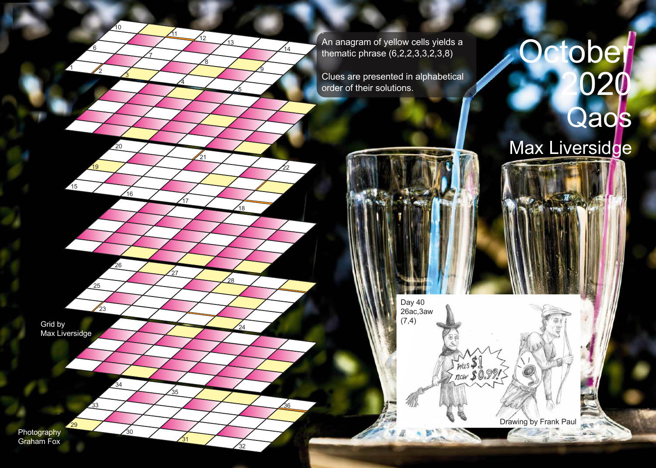. An anagram of yellow cells yields a thematic phrase (6,2,2,3,3,2,3,8)

Clues are presented in alphabetical order of their solutions.

> Day 40 26ac,3aw  $(7,4)$

## tober 2020 Qaos Max Liversidge

Drawing by Frank Paul

**ALC** 

 $\frac{1}{1000}$  \$1<br>Thow \$0.99%

Grid by Max Liversidge 7

4

17

27

 $\overline{31}$ 

35

8

 $\frac{1}{21}$ 

 $\sqrt{12}$   $\sqrt{13}$ 

 $\sqrt{11}$ 

9

 $14$ 

22

 $\frac{2}{36}$ 

5

18

,<br>28

 $^{24}$ 

32

6

<u> 19</u>

 $25$ 

33

29

 $\frac{1}{23}$ 

2

3

16

 $20$ 

26

34

 $\overline{30}$ 

10

1

 $\sqrt{15}$ 

Photography Graham Fox